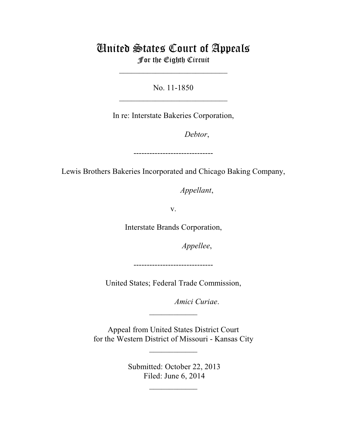## United States Court of Appeals For the Eighth Circuit

\_\_\_\_\_\_\_\_\_\_\_\_\_\_\_\_\_\_\_\_\_\_\_\_\_\_\_

No. 11-1850  $\mathcal{L}_\text{max}$  , which is a set of the set of the set of the set of the set of the set of the set of the set of the set of the set of the set of the set of the set of the set of the set of the set of the set of the set of

In re: Interstate Bakeries Corporation,

Debtor,

------------------------------

Lewis Brothers Bakeries Incorporated and Chicago Baking Company,

*Appellant*,

v.

Interstate Brands Corporation,

*Appellee*,

------------------------------

United States; Federal Trade Commission,

Amici Curiae.

 Appeal from United States District Court for the Western District of Missouri - Kansas City

 $\overline{\phantom{a}}$  , where  $\overline{\phantom{a}}$ 

 $\frac{1}{2}$ 

 Submitted: October 22, 2013 Filed: June 6, 2014

 $\frac{1}{2}$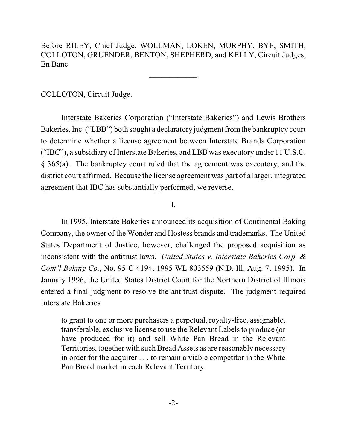Before RILEY, Chief Judge, WOLLMAN, LOKEN, MURPHY, BYE, SMITH, COLLOTON, GRUENDER, BENTON, SHEPHERD, and KELLY, Circuit Judges, En Banc.

\_\_\_\_\_\_\_\_\_\_\_\_

COLLOTON, Circuit Judge.

Interstate Bakeries Corporation ("Interstate Bakeries") and Lewis Brothers Bakeries, Inc. ("LBB") both sought a declaratory judgment fromthe bankruptcy court to determine whether a license agreement between Interstate Brands Corporation ("IBC"), a subsidiary of Interstate Bakeries, and LBB was executory under 11 U.S.C. § 365(a). The bankruptcy court ruled that the agreement was executory, and the district court affirmed. Because the license agreement was part of a larger, integrated agreement that IBC has substantially performed, we reverse.

I.

In 1995, Interstate Bakeries announced its acquisition of Continental Baking Company, the owner of the Wonder and Hostess brands and trademarks. The United States Department of Justice, however, challenged the proposed acquisition as inconsistent with the antitrust laws. *United States v. Interstate Bakeries Corp. & Cont'l Baking Co.*, No. 95-C-4194, 1995 WL 803559 (N.D. Ill. Aug. 7, 1995). In January 1996, the United States District Court for the Northern District of Illinois entered a final judgment to resolve the antitrust dispute. The judgment required Interstate Bakeries

to grant to one or more purchasers a perpetual, royalty-free, assignable, transferable, exclusive license to use the Relevant Labels to produce (or have produced for it) and sell White Pan Bread in the Relevant Territories, together with such Bread Assets as are reasonably necessary in order for the acquirer . . . to remain a viable competitor in the White Pan Bread market in each Relevant Territory.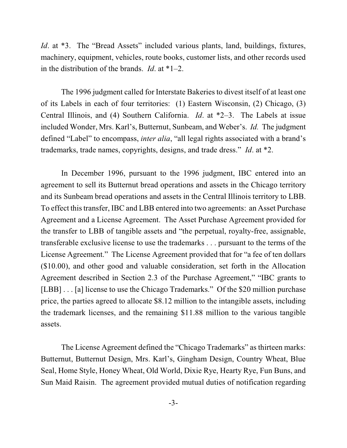*Id.* at \*3. The "Bread Assets" included various plants, land, buildings, fixtures, machinery, equipment, vehicles, route books, customer lists, and other records used in the distribution of the brands. *Id*. at \*1–2.

The 1996 judgment called for Interstate Bakeries to divest itself of at least one of its Labels in each of four territories: (1) Eastern Wisconsin, (2) Chicago, (3) Central Illinois, and (4) Southern California. *Id*. at \*2–3. The Labels at issue included Wonder, Mrs. Karl's, Butternut, Sunbeam, and Weber's. *Id.* The judgment defined "Label" to encompass, *inter alia*, "all legal rights associated with a brand's trademarks, trade names, copyrights, designs, and trade dress." *Id*. at \*2.

In December 1996, pursuant to the 1996 judgment, IBC entered into an agreement to sell its Butternut bread operations and assets in the Chicago territory and its Sunbeam bread operations and assets in the Central Illinois territory to LBB. To effect thistransfer, IBC and LBB entered into two agreements: an Asset Purchase Agreement and a License Agreement. The Asset Purchase Agreement provided for the transfer to LBB of tangible assets and "the perpetual, royalty-free, assignable, transferable exclusive license to use the trademarks . . . pursuant to the terms of the License Agreement." The License Agreement provided that for "a fee of ten dollars (\$10.00), and other good and valuable consideration, set forth in the Allocation Agreement described in Section 2.3 of the Purchase Agreement," "IBC grants to [LBB] . . . [a] license to use the Chicago Trademarks." Of the \$20 million purchase price, the parties agreed to allocate \$8.12 million to the intangible assets, including the trademark licenses, and the remaining \$11.88 million to the various tangible assets.

The License Agreement defined the "Chicago Trademarks" as thirteen marks: Butternut, Butternut Design, Mrs. Karl's, Gingham Design, Country Wheat, Blue Seal, Home Style, Honey Wheat, Old World, Dixie Rye, Hearty Rye, Fun Buns, and Sun Maid Raisin. The agreement provided mutual duties of notification regarding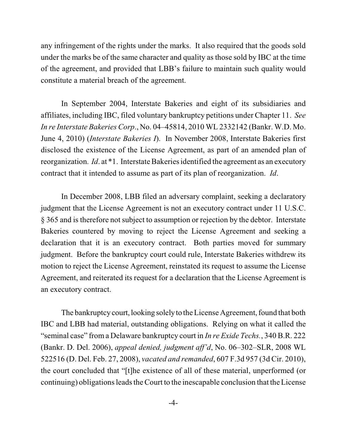any infringement of the rights under the marks. It also required that the goods sold under the marks be of the same character and quality as those sold by IBC at the time of the agreement, and provided that LBB's failure to maintain such quality would constitute a material breach of the agreement.

In September 2004, Interstate Bakeries and eight of its subsidiaries and affiliates, including IBC, filed voluntary bankruptcy petitions under Chapter 11. *See In re Interstate Bakeries Corp*., No. 04–45814, 2010 WL 2332142 (Bankr. W.D. Mo. June 4, 2010) (*Interstate Bakeries I*). In November 2008, Interstate Bakeries first disclosed the existence of the License Agreement, as part of an amended plan of reorganization. *Id*. at \*1. Interstate Bakeries identified the agreement as an executory contract that it intended to assume as part of its plan of reorganization. *Id*.

In December 2008, LBB filed an adversary complaint, seeking a declaratory judgment that the License Agreement is not an executory contract under 11 U.S.C. § 365 and is therefore not subject to assumption or rejection by the debtor. Interstate Bakeries countered by moving to reject the License Agreement and seeking a declaration that it is an executory contract. Both parties moved for summary judgment. Before the bankruptcy court could rule, Interstate Bakeries withdrew its motion to reject the License Agreement, reinstated its request to assume the License Agreement, and reiterated its request for a declaration that the License Agreement is an executory contract.

The bankruptcy court, looking solely to the License Agreement, found that both IBC and LBB had material, outstanding obligations. Relying on what it called the "seminal case" from a Delaware bankruptcy court in *In re Exide Techs.*, 340 B.R. 222 (Bankr. D. Del. 2006), *appeal denied, judgment aff'd*, No. 06–302–SLR, 2008 WL 522516 (D. Del. Feb. 27, 2008), *vacated and remanded*, 607 F.3d 957 (3d Cir. 2010), the court concluded that "[t]he existence of all of these material, unperformed (or continuing) obligations leads the Court to the inescapable conclusion that the License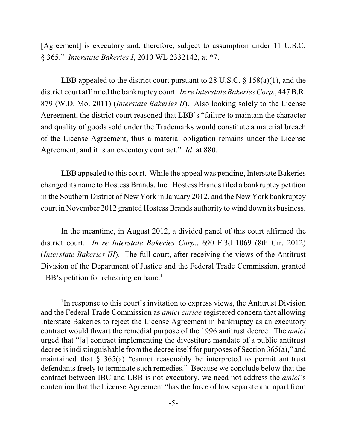[Agreement] is executory and, therefore, subject to assumption under 11 U.S.C. § 365." *Interstate Bakeries I*, 2010 WL 2332142, at \*7.

LBB appealed to the district court pursuant to 28 U.S.C.  $\S 158(a)(1)$ , and the district court affirmed the bankruptcy court. *In re Interstate Bakeries Corp*., 447 B.R. 879 (W.D. Mo. 2011) (*Interstate Bakeries II*). Also looking solely to the License Agreement, the district court reasoned that LBB's "failure to maintain the character and quality of goods sold under the Trademarks would constitute a material breach of the License Agreement, thus a material obligation remains under the License Agreement, and it is an executory contract." *Id*. at 880.

LBB appealed to this court. While the appeal was pending, Interstate Bakeries changed its name to Hostess Brands, Inc. Hostess Brands filed a bankruptcy petition in the Southern District of New York in January 2012, and the New York bankruptcy court in November 2012 granted Hostess Brands authority to wind down its business.

In the meantime, in August 2012, a divided panel of this court affirmed the district court. *In re Interstate Bakeries Corp*., 690 F.3d 1069 (8th Cir. 2012) (*Interstate Bakeries III*). The full court, after receiving the views of the Antitrust Division of the Department of Justice and the Federal Trade Commission, granted LBB's petition for rehearing en banc.<sup>1</sup>

 $\rm{^1In}$  response to this court's invitation to express views, the Antitrust Division and the Federal Trade Commission as *amici curiae* registered concern that allowing Interstate Bakeries to reject the License Agreement in bankruptcy as an executory contract would thwart the remedial purpose of the 1996 antitrust decree. The *amici* urged that "[a] contract implementing the divestiture mandate of a public antitrust decree is indistinguishable from the decree itself for purposes of Section 365(a)," and maintained that  $\S$  365(a) "cannot reasonably be interpreted to permit antitrust defendants freely to terminate such remedies." Because we conclude below that the contract between IBC and LBB is not executory, we need not address the *amici*'s contention that the License Agreement "has the force of law separate and apart from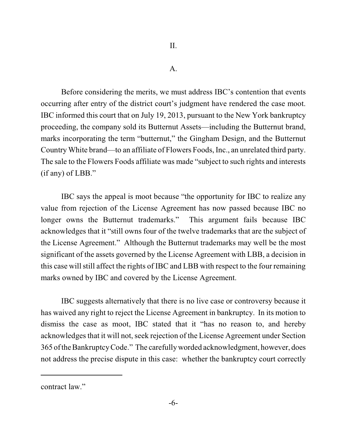A.

Before considering the merits, we must address IBC's contention that events occurring after entry of the district court's judgment have rendered the case moot. IBC informed this court that on July 19, 2013, pursuant to the New York bankruptcy proceeding, the company sold its Butternut Assets—including the Butternut brand, marks incorporating the term "butternut," the Gingham Design, and the Butternut Country White brand—to an affiliate of Flowers Foods, Inc., an unrelated third party. The sale to the Flowers Foods affiliate was made "subject to such rights and interests (if any) of LBB."

IBC says the appeal is moot because "the opportunity for IBC to realize any value from rejection of the License Agreement has now passed because IBC no longer owns the Butternut trademarks." This argument fails because IBC acknowledges that it "still owns four of the twelve trademarks that are the subject of the License Agreement." Although the Butternut trademarks may well be the most significant of the assets governed by the License Agreement with LBB, a decision in this case will still affect the rights of IBC and LBB with respect to the four remaining marks owned by IBC and covered by the License Agreement.

IBC suggests alternatively that there is no live case or controversy because it has waived any right to reject the License Agreement in bankruptcy. In its motion to dismiss the case as moot, IBC stated that it "has no reason to, and hereby acknowledges that it will not, seek rejection of the License Agreement under Section 365 oftheBankruptcyCode." The carefullyworded acknowledgment, however, does not address the precise dispute in this case: whether the bankruptcy court correctly

contract law."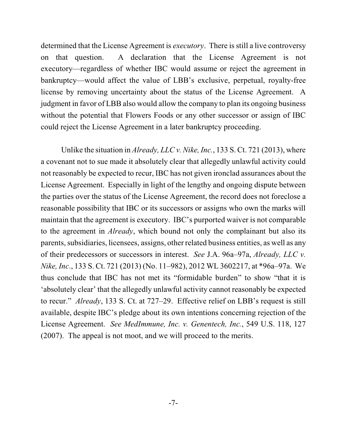determined that the License Agreement is *executory*. There is still a live controversy on that question. A declaration that the License Agreement is not executory—regardless of whether IBC would assume or reject the agreement in bankruptcy—would affect the value of LBB's exclusive, perpetual, royalty-free license by removing uncertainty about the status of the License Agreement. A judgment in favor of LBB also would allow the company to plan its ongoing business without the potential that Flowers Foods or any other successor or assign of IBC could reject the License Agreement in a later bankruptcy proceeding.

Unlike the situation in *Already, LLC v. Nike, Inc.*, 133 S. Ct. 721 (2013), where a covenant not to sue made it absolutely clear that allegedly unlawful activity could not reasonably be expected to recur, IBC has not given ironclad assurances about the License Agreement. Especially in light of the lengthy and ongoing dispute between the parties over the status of the License Agreement, the record does not foreclose a reasonable possibility that IBC or its successors or assigns who own the marks will maintain that the agreement is executory. IBC's purported waiver is not comparable to the agreement in *Already*, which bound not only the complainant but also its parents, subsidiaries, licensees, assigns, other related business entities, as well as any of their predecessors or successors in interest. *See* J.A. 96a–97a, *Already, LLC v. Nike, Inc*., 133 S. Ct. 721 (2013) (No. 11–982), 2012 WL 3602217, at \*96a–97a. We thus conclude that IBC has not met its "formidable burden" to show "that it is 'absolutely clear' that the allegedly unlawful activity cannot reasonably be expected to recur." *Already*, 133 S. Ct. at 727–29. Effective relief on LBB's request is still available, despite IBC's pledge about its own intentions concerning rejection of the License Agreement. *See MedImmune, Inc. v. Genentech, Inc.*, 549 U.S. 118, 127 (2007). The appeal is not moot, and we will proceed to the merits.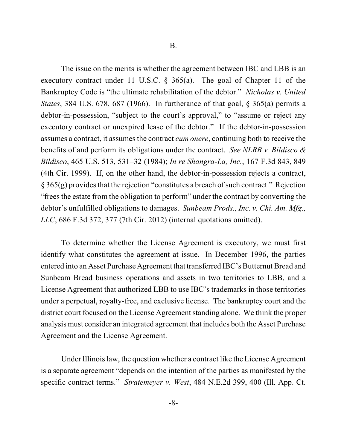The issue on the merits is whether the agreement between IBC and LBB is an executory contract under 11 U.S.C. § 365(a). The goal of Chapter 11 of the Bankruptcy Code is "the ultimate rehabilitation of the debtor." *Nicholas v. United States*, 384 U.S. 678, 687 (1966). In furtherance of that goal, § 365(a) permits a debtor-in-possession, "subject to the court's approval," to "assume or reject any executory contract or unexpired lease of the debtor." If the debtor-in-possession assumes a contract, it assumes the contract *cum onere*, continuing both to receive the benefits of and perform its obligations under the contract. *See NLRB v. Bildisco & Bildisco*, 465 U.S. 513, 531–32 (1984); *In re Shangra-La, Inc.*, 167 F.3d 843, 849 (4th Cir. 1999). If, on the other hand, the debtor-in-possession rejects a contract,  $\S 365(g)$  provides that the rejection "constitutes a breach of such contract." Rejection "frees the estate from the obligation to perform" under the contract by converting the debtor's unfulfilled obligations to damages. *Sunbeam Prods., Inc. v. Chi. Am. Mfg., LLC*, 686 F.3d 372, 377 (7th Cir. 2012) (internal quotations omitted).

To determine whether the License Agreement is executory, we must first identify what constitutes the agreement at issue. In December 1996, the parties entered into an Asset Purchase Agreement that transferred IBC's Butternut Bread and Sunbeam Bread business operations and assets in two territories to LBB, and a License Agreement that authorized LBB to use IBC's trademarks in those territories under a perpetual, royalty-free, and exclusive license. The bankruptcy court and the district court focused on the License Agreement standing alone. We think the proper analysis must consider an integrated agreement that includes both the Asset Purchase Agreement and the License Agreement.

Under Illinois law, the question whether a contract like the License Agreement is a separate agreement "depends on the intention of the parties as manifested by the specific contract terms." *Stratemeyer v. West*, 484 N.E.2d 399, 400 (Ill. App. Ct*.*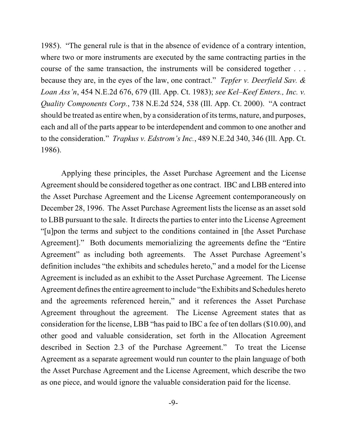1985). "The general rule is that in the absence of evidence of a contrary intention, where two or more instruments are executed by the same contracting parties in the course of the same transaction, the instruments will be considered together . . . because they are, in the eyes of the law, one contract." *Tepfer v. Deerfield Sav. & Loan Ass'n*, 454 N.E.2d 676, 679 (Ill. App. Ct. 1983); *see Kel–Keef Enters., Inc. v. Quality Components Corp.*, 738 N.E.2d 524, 538 (Ill. App. Ct. 2000). "A contract should be treated as entire when, by a consideration of its terms, nature, and purposes, each and all of the parts appear to be interdependent and common to one another and to the consideration." *Trapkus v. Edstrom's Inc.*, 489 N.E.2d 340, 346 (Ill. App. Ct. 1986).

Applying these principles, the Asset Purchase Agreement and the License Agreement should be considered together as one contract. IBC and LBB entered into the Asset Purchase Agreement and the License Agreement contemporaneously on December 28, 1996. The Asset Purchase Agreement lists the license as an asset sold to LBB pursuant to the sale. It directs the parties to enter into the License Agreement "[u]pon the terms and subject to the conditions contained in [the Asset Purchase Agreement]." Both documents memorializing the agreements define the "Entire Agreement" as including both agreements. The Asset Purchase Agreement's definition includes "the exhibits and schedules hereto," and a model for the License Agreement is included as an exhibit to the Asset Purchase Agreement. The License Agreement defines the entire agreement to include "the Exhibits and Schedules hereto" and the agreements referenced herein," and it references the Asset Purchase Agreement throughout the agreement. The License Agreement states that as consideration for the license, LBB "has paid to IBC a fee of ten dollars (\$10.00), and other good and valuable consideration, set forth in the Allocation Agreement described in Section 2.3 of the Purchase Agreement." To treat the License Agreement as a separate agreement would run counter to the plain language of both the Asset Purchase Agreement and the License Agreement, which describe the two as one piece, and would ignore the valuable consideration paid for the license.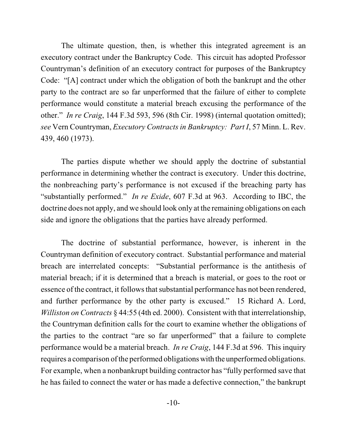The ultimate question, then, is whether this integrated agreement is an executory contract under the Bankruptcy Code. This circuit has adopted Professor Countryman's definition of an executory contract for purposes of the Bankruptcy Code: "[A] contract under which the obligation of both the bankrupt and the other party to the contract are so far unperformed that the failure of either to complete performance would constitute a material breach excusing the performance of the other." *In re Craig*, 144 F.3d 593, 596 (8th Cir. 1998) (internal quotation omitted); *see* Vern Countryman, *Executory Contracts in Bankruptcy: Part I*, 57 Minn. L. Rev. 439, 460 (1973).

The parties dispute whether we should apply the doctrine of substantial performance in determining whether the contract is executory. Under this doctrine, the nonbreaching party's performance is not excused if the breaching party has "substantially performed." *In re Exide*, 607 F.3d at 963. According to IBC, the doctrine does not apply, and we should look only at the remaining obligations on each side and ignore the obligations that the parties have already performed.

The doctrine of substantial performance, however, is inherent in the Countryman definition of executory contract. Substantial performance and material breach are interrelated concepts: "Substantial performance is the antithesis of material breach; if it is determined that a breach is material, or goes to the root or essence of the contract, it follows that substantial performance has not been rendered, and further performance by the other party is excused." 15 Richard A. Lord, *Williston on Contracts* § 44:55 (4th ed. 2000). Consistent with that interrelationship, the Countryman definition calls for the court to examine whether the obligations of the parties to the contract "are so far unperformed" that a failure to complete performance would be a material breach. *In re Craig*, 144 F.3d at 596. This inquiry requires a comparison of the performed obligations with the unperformed obligations. For example, when a nonbankrupt building contractor has "fully performed save that he has failed to connect the water or has made a defective connection," the bankrupt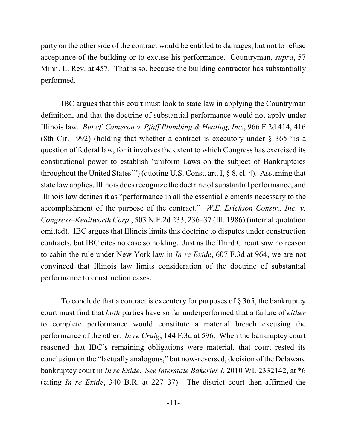party on the other side of the contract would be entitled to damages, but not to refuse acceptance of the building or to excuse his performance. Countryman, *supra*, 57 Minn. L. Rev. at 457. That is so, because the building contractor has substantially performed.

IBC argues that this court must look to state law in applying the Countryman definition, and that the doctrine of substantial performance would not apply under Illinois law. *But cf. Cameron v. Pfaff Plumbing & Heating, Inc.*, 966 F.2d 414, 416 (8th Cir. 1992) (holding that whether a contract is executory under  $\S$  365 "is a question of federal law, for it involves the extent to which Congress has exercised its constitutional power to establish 'uniform Laws on the subject of Bankruptcies throughout the United States'") (quoting U.S. Const. art. I, § 8, cl. 4). Assuming that state law applies, Illinois does recognize the doctrine of substantial performance, and Illinois law defines it as "performance in all the essential elements necessary to the accomplishment of the purpose of the contract." *W.E. Erickson Constr., Inc. v. Congress–Kenilworth Corp.*, 503 N.E.2d 233, 236–37 (Ill. 1986) (internal quotation omitted). IBC argues that Illinois limits this doctrine to disputes under construction contracts, but IBC cites no case so holding. Just as the Third Circuit saw no reason to cabin the rule under New York law in *In re Exide*, 607 F.3d at 964, we are not convinced that Illinois law limits consideration of the doctrine of substantial performance to construction cases.

To conclude that a contract is executory for purposes of § 365, the bankruptcy court must find that *both* parties have so far underperformed that a failure of *either* to complete performance would constitute a material breach excusing the performance of the other. *In re Craig*, 144 F.3d at 596. When the bankruptcy court reasoned that IBC's remaining obligations were material, that court rested its conclusion on the "factually analogous," but now-reversed, decision of the Delaware bankruptcy court in *In re Exide*. *See Interstate Bakeries I*, 2010 WL 2332142, at \*6 (citing *In re Exide*, 340 B.R. at 227–37). The district court then affirmed the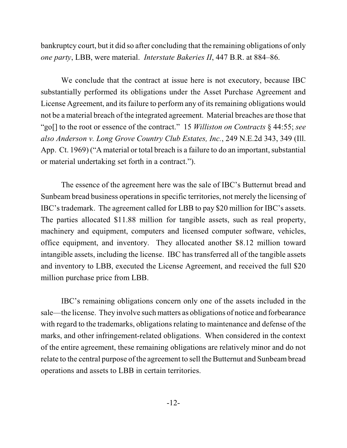bankruptcy court, but it did so after concluding that the remaining obligations of only *one party*, LBB, were material. *Interstate Bakeries II*, 447 B.R. at 884–86.

We conclude that the contract at issue here is not executory, because IBC substantially performed its obligations under the Asset Purchase Agreement and License Agreement, and its failure to perform any of its remaining obligations would not be a material breach of the integrated agreement. Material breaches are those that "go[] to the root or essence of the contract." 15 *Williston on Contracts* § 44:55; *see also Anderson v. Long Grove Country Club Estates, Inc.*, 249 N.E.2d 343, 349 (Ill. App. Ct. 1969) ("A material or total breach is a failure to do an important, substantial or material undertaking set forth in a contract.").

The essence of the agreement here was the sale of IBC's Butternut bread and Sunbeam bread business operations in specific territories, not merely the licensing of IBC's trademark. The agreement called for LBB to pay \$20 million for IBC's assets. The parties allocated \$11.88 million for tangible assets, such as real property, machinery and equipment, computers and licensed computer software, vehicles, office equipment, and inventory. They allocated another \$8.12 million toward intangible assets, including the license. IBC has transferred all of the tangible assets and inventory to LBB, executed the License Agreement, and received the full \$20 million purchase price from LBB.

IBC's remaining obligations concern only one of the assets included in the sale—the license. They involve such matters as obligations of notice and forbearance with regard to the trademarks, obligations relating to maintenance and defense of the marks, and other infringement-related obligations. When considered in the context of the entire agreement, these remaining obligations are relatively minor and do not relate to the central purpose of the agreement to sell the Butternut and Sunbeambread operations and assets to LBB in certain territories.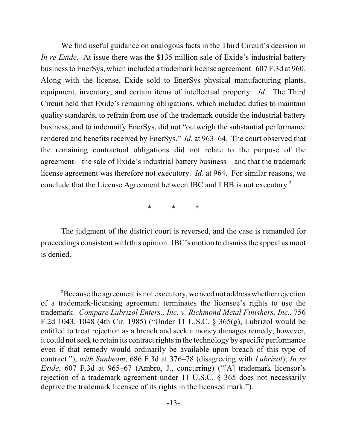We find useful guidance on analogous facts in the Third Circuit's decision in *In re Exide*. At issue there was the \$135 million sale of Exide's industrial battery businessto EnerSys, which included a trademark license agreement. 607 F.3d at 960. Along with the license, Exide sold to EnerSys physical manufacturing plants, equipment, inventory, and certain items of intellectual property. *Id.* The Third Circuit held that Exide's remaining obligations, which included duties to maintain quality standards, to refrain from use of the trademark outside the industrial battery business, and to indemnify EnerSys, did not "outweigh the substantial performance rendered and benefits received by EnerSys." *Id*. at 963–64. The court observed that the remaining contractual obligations did not relate to the purpose of the agreement—the sale of Exide's industrial battery business—and that the trademark license agreement was therefore not executory. *Id*. at 964. For similar reasons, we conclude that the License Agreement between IBC and LBB is not executory. 2

\* \* \*

The judgment of the district court is reversed, and the case is remanded for proceedings consistent with this opinion. IBC's motion to dismiss the appeal as moot is denied.

 $P^2$ Because the agreement is not executory, we need not address whether rejection of a trademark-licensing agreement terminates the licensee's rights to use the trademark. *Compare Lubrizol Enters., Inc. v. Richmond Metal Finishers, Inc.*, 756 F.2d 1043, 1048 (4th Cir. 1985) ("Under 11 U.S.C. § 365(g), Lubrizol would be entitled to treat rejection as a breach and seek a money damages remedy; however, it could not seek to retain its contract rights in the technology by specific performance even if that remedy would ordinarily be available upon breach of this type of contract."), *with Sunbeam*, 686 F.3d at 376–78 (disagreeing with *Lubrizol*); *In re Exide*, 607 F.3d at 965–67 (Ambro, J., concurring) ("[A] trademark licensor's rejection of a trademark agreement under 11 U.S.C. § 365 does not necessarily deprive the trademark licensee of its rights in the licensed mark.").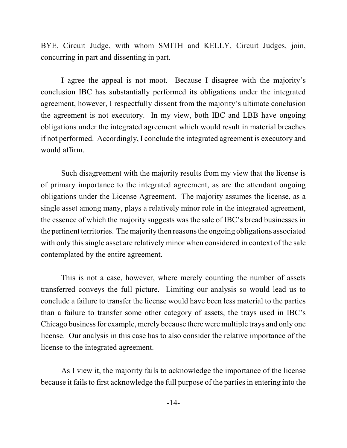BYE, Circuit Judge, with whom SMITH and KELLY, Circuit Judges, join, concurring in part and dissenting in part.

I agree the appeal is not moot. Because I disagree with the majority's conclusion IBC has substantially performed its obligations under the integrated agreement, however, I respectfully dissent from the majority's ultimate conclusion the agreement is not executory. In my view, both IBC and LBB have ongoing obligations under the integrated agreement which would result in material breaches if not performed. Accordingly, I conclude the integrated agreement is executory and would affirm.

Such disagreement with the majority results from my view that the license is of primary importance to the integrated agreement, as are the attendant ongoing obligations under the License Agreement. The majority assumes the license, as a single asset among many, plays a relatively minor role in the integrated agreement, the essence of which the majority suggests was the sale of IBC's bread businesses in the pertinent territories. The majority then reasons the ongoing obligations associated with only this single asset are relatively minor when considered in context of the sale contemplated by the entire agreement.

This is not a case, however, where merely counting the number of assets transferred conveys the full picture. Limiting our analysis so would lead us to conclude a failure to transfer the license would have been less material to the parties than a failure to transfer some other category of assets, the trays used in IBC's Chicago business for example, merely because there were multiple trays and only one license. Our analysis in this case has to also consider the relative importance of the license to the integrated agreement.

As I view it, the majority fails to acknowledge the importance of the license because it fails to first acknowledge the full purpose of the parties in entering into the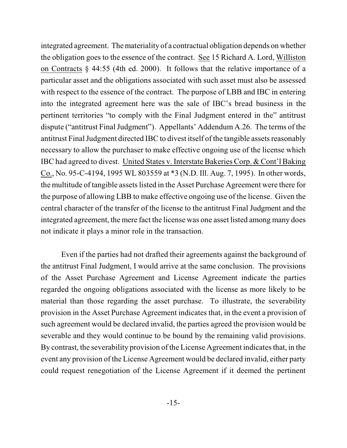integrated agreement. The materiality of a contractual obligation depends on whether the obligation goes to the essence of the contract. See 15 Richard A. Lord, Williston on Contracts § 44:55 (4th ed. 2000). It follows that the relative importance of a particular asset and the obligations associated with such asset must also be assessed with respect to the essence of the contract. The purpose of LBB and IBC in entering into the integrated agreement here was the sale of IBC's bread business in the pertinent territories "to comply with the Final Judgment entered in the" antitrust dispute ("antitrust Final Judgment"). Appellants' Addendum A.26. The terms of the antitrust Final Judgment directed IBC to divest itself of the tangible assetsreasonably necessary to allow the purchaser to make effective ongoing use of the license which IBC had agreed to divest. United States v. Interstate Bakeries Corp. & Cont'l Baking Co., No. 95-C-4194, 1995 WL 803559 at \*3 (N.D. Ill. Aug. 7, 1995). In other words, the multitude of tangible assets listed in the Asset Purchase Agreement were there for the purpose of allowing LBB to make effective ongoing use of the license. Given the central character of the transfer of the license to the antitrust Final Judgment and the integrated agreement, the mere fact the license was one asset listed among many does not indicate it plays a minor role in the transaction.

Even if the parties had not drafted their agreements against the background of the antitrust Final Judgment, I would arrive at the same conclusion. The provisions of the Asset Purchase Agreement and License Agreement indicate the parties regarded the ongoing obligations associated with the license as more likely to be material than those regarding the asset purchase. To illustrate, the severability provision in the Asset Purchase Agreement indicates that, in the event a provision of such agreement would be declared invalid, the parties agreed the provision would be severable and they would continue to be bound by the remaining valid provisions. By contrast, the severability provision of the License Agreement indicates that, in the event any provision of the License Agreement would be declared invalid, either party could request renegotiation of the License Agreement if it deemed the pertinent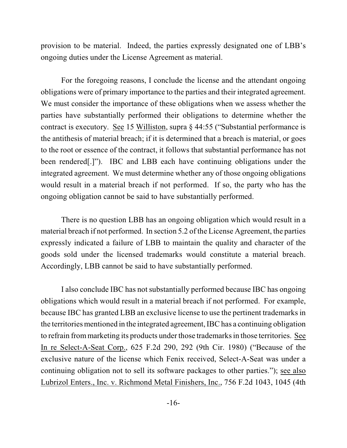provision to be material. Indeed, the parties expressly designated one of LBB's ongoing duties under the License Agreement as material.

For the foregoing reasons, I conclude the license and the attendant ongoing obligations were of primary importance to the parties and their integrated agreement. We must consider the importance of these obligations when we assess whether the parties have substantially performed their obligations to determine whether the contract is executory. See 15 Williston, supra § 44:55 ("Substantial performance is the antithesis of material breach; if it is determined that a breach is material, or goes to the root or essence of the contract, it follows that substantial performance has not been rendered[.]"). IBC and LBB each have continuing obligations under the integrated agreement. We must determine whether any of those ongoing obligations would result in a material breach if not performed. If so, the party who has the ongoing obligation cannot be said to have substantially performed.

There is no question LBB has an ongoing obligation which would result in a material breach if not performed. In section 5.2 of the License Agreement, the parties expressly indicated a failure of LBB to maintain the quality and character of the goods sold under the licensed trademarks would constitute a material breach. Accordingly, LBB cannot be said to have substantially performed.

I also conclude IBC has not substantially performed because IBC has ongoing obligations which would result in a material breach if not performed. For example, because IBC has granted LBB an exclusive license to use the pertinent trademarks in the territories mentioned in the integrated agreement, IBC has a continuing obligation to refrain frommarketing its products under those trademarks in those territories. See In re Select-A-Seat Corp., 625 F.2d 290, 292 (9th Cir. 1980) ("Because of the exclusive nature of the license which Fenix received, Select-A-Seat was under a continuing obligation not to sell its software packages to other parties."); see also Lubrizol Enters., Inc. v. Richmond Metal Finishers, Inc., 756 F.2d 1043, 1045 (4th